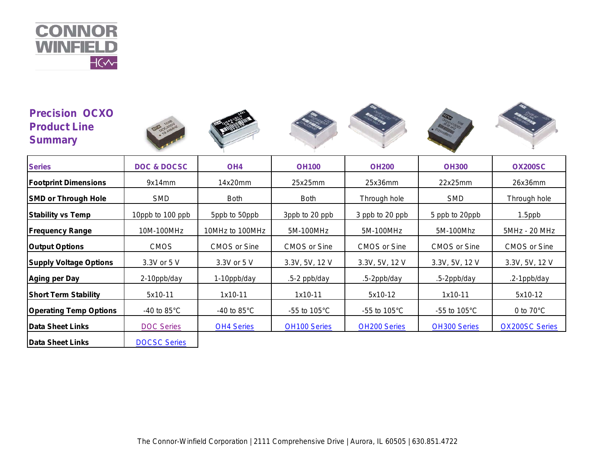

## **Precision OCXO Product Line Summary**













| <b>Series</b>                 | <b>DOC &amp; DOCSC</b> | OH <sub>4</sub>         | <b>OH100</b>             | <b>OH200</b>                    | <b>OH300</b>           | OX200SC               |
|-------------------------------|------------------------|-------------------------|--------------------------|---------------------------------|------------------------|-----------------------|
| <b>Footprint Dimensions</b>   | 9x14mm                 | 14x20mm                 | 25x25mm                  | 25x36mm                         | 22x25mm                | 26x36mm               |
| <b>SMD or Through Hole</b>    | <b>SMD</b>             | <b>Both</b>             | <b>Both</b>              | Through hole                    | <b>SMD</b>             | Through hole          |
| Stability vs Temp             | 10ppb to 100 ppb       | 5ppb to 50ppb           | 3ppb to 20 ppb           | 3 ppb to 20 ppb                 | 5 ppb to 20ppb         | 1.5ppb                |
| <b>Frequency Range</b>        | 10M-100MHz             | 10MHz to 100MHz         | 5M-100MHz                | 5M-100MHz                       | 5M-100Mhz              | 5MHz - 20 MHz         |
| Output Options                | <b>CMOS</b>            | CMOS or Sine            | CMOS or Sine             | CMOS or Sine                    | <b>CMOS or Sine</b>    | <b>CMOS or Sine</b>   |
| <b>Supply Voltage Options</b> | 3.3V or 5 V            | 3.3V or 5 V             | 3.3V, 5V, 12 V           | 3.3V, 5V, 12 V                  | 3.3V, 5V, 12 V         | 3.3V, 5V, 12 V        |
| Aging per Day                 | 2-10ppb/day            | 1-10ppb/day             | $.5-2$ ppb/day           | .5-2ppb/day                     | .5-2ppb/day            | .2-1ppb/day           |
| <b>Short Term Stability</b>   | 5x10-11                | 1x10-11                 | $1x10-11$                | 5x10-12                         | $1x10-11$              | 5x10-12               |
| <b>Operating Temp Options</b> | -40 to $85^{\circ}$ C  | $-40$ to 85 $\degree$ C | $-55$ to 105 $\degree$ C | -55 to 105 $\mathrm{^{\circ}C}$ | -55 to $105^{\circ}$ C | 0 to $70^{\circ}$ C   |
| lData Sheet Links             | <b>DOC Series</b>      | <b>OH4 Series</b>       | <b>OH100 Series</b>      | <b>OH200 Series</b>             | <b>OH300 Series</b>    | <b>OX200SC Series</b> |
| Data Sheet Links              | <b>DOCSC Series</b>    |                         |                          |                                 |                        |                       |